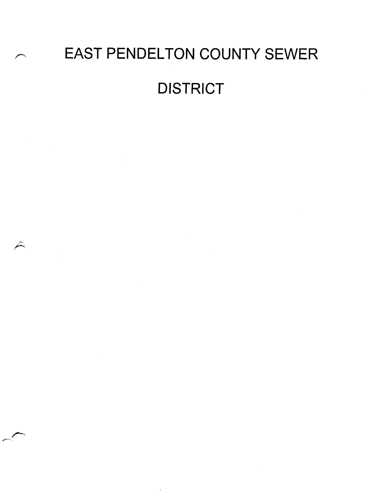# EAST PENDELTON COUNTY SEWER **DISTRICT**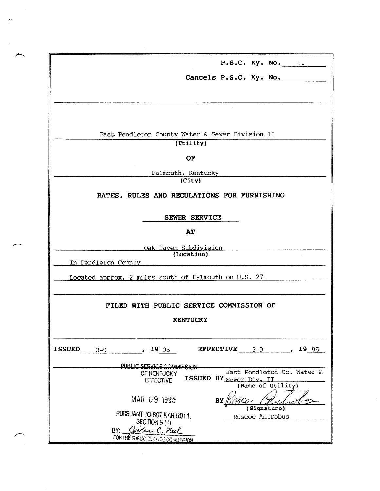| P.S.C. Ky. No. 1.                                                                                         |  |  |  |  |  |  |  |  |  |
|-----------------------------------------------------------------------------------------------------------|--|--|--|--|--|--|--|--|--|
| Cancels P.S.C. Ky. No.                                                                                    |  |  |  |  |  |  |  |  |  |
|                                                                                                           |  |  |  |  |  |  |  |  |  |
|                                                                                                           |  |  |  |  |  |  |  |  |  |
|                                                                                                           |  |  |  |  |  |  |  |  |  |
| East Pendleton County Water & Sewer Division II                                                           |  |  |  |  |  |  |  |  |  |
| (Utility)                                                                                                 |  |  |  |  |  |  |  |  |  |
| OF                                                                                                        |  |  |  |  |  |  |  |  |  |
| Falmouth, Kentucky                                                                                        |  |  |  |  |  |  |  |  |  |
| (City)                                                                                                    |  |  |  |  |  |  |  |  |  |
| RATES, RULES AND REGULATIONS FOR FURNISHING                                                               |  |  |  |  |  |  |  |  |  |
|                                                                                                           |  |  |  |  |  |  |  |  |  |
| SEWER SERVICE                                                                                             |  |  |  |  |  |  |  |  |  |
| AT                                                                                                        |  |  |  |  |  |  |  |  |  |
| Oak Haven Subdivision                                                                                     |  |  |  |  |  |  |  |  |  |
| (Location)                                                                                                |  |  |  |  |  |  |  |  |  |
| In Pendleton County                                                                                       |  |  |  |  |  |  |  |  |  |
| Located approx. 2 miles south of Falmouth on U.S. 27                                                      |  |  |  |  |  |  |  |  |  |
|                                                                                                           |  |  |  |  |  |  |  |  |  |
| FILED WITH PUBLIC SERVICE COMMISSION OF                                                                   |  |  |  |  |  |  |  |  |  |
| <b>KENTUCKY</b>                                                                                           |  |  |  |  |  |  |  |  |  |
|                                                                                                           |  |  |  |  |  |  |  |  |  |
|                                                                                                           |  |  |  |  |  |  |  |  |  |
| <b>ISSUED</b><br><b>EFFECTIVE</b><br>19 95<br>19 95<br>$3 - 9$<br>$3 - 9$<br>$\mathbf{r}$<br>$\mathbf{r}$ |  |  |  |  |  |  |  |  |  |
| PUBLIC SERVICE COMMISSION                                                                                 |  |  |  |  |  |  |  |  |  |
| East Pendleton Co. Water &<br>OF KENTUCKY<br><b>ISSUED</b>                                                |  |  |  |  |  |  |  |  |  |
| BY Sewer Div. II<br><b>EFFECTIVE</b><br>(Name of Utility)                                                 |  |  |  |  |  |  |  |  |  |
|                                                                                                           |  |  |  |  |  |  |  |  |  |
| MAR 09 1995<br>BY<br>(Signature)                                                                          |  |  |  |  |  |  |  |  |  |
| PURSUANT TO 807 KAR 5:011,<br>Roscoe Antrobus                                                             |  |  |  |  |  |  |  |  |  |
| SECTION 9 (1)                                                                                             |  |  |  |  |  |  |  |  |  |
| avdan C. neel<br>BY:<br>FOR THE FUBLIC SERVICE COMMISSION                                                 |  |  |  |  |  |  |  |  |  |
|                                                                                                           |  |  |  |  |  |  |  |  |  |

 $\tilde{f}$ 

 $\sigma_{\rm c}$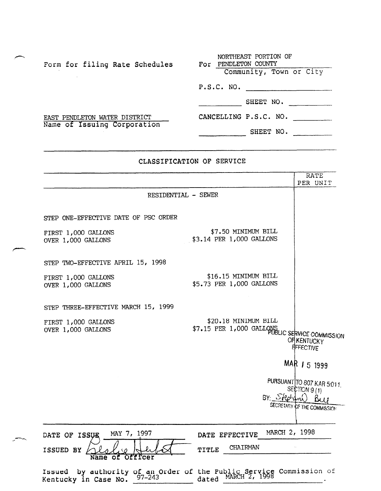| Form for filing Rate Schedules | NORTHEAST PORTION OF<br>For PENDLETON COUNTY |
|--------------------------------|----------------------------------------------|
|                                | Community, Town or City                      |
|                                | P.S.C. NO.                                   |
|                                | SHEET NO.                                    |
| EAST PENDLETON WATER DISTRICT  | CANCELLING P.S.C. NO.                        |
| Name of Issuing Corporation    | SHEET NO.                                    |

# CLASSIFICATION OF SERVICE

|                                           | RATE<br>PER UNIT                                                                                                         |
|-------------------------------------------|--------------------------------------------------------------------------------------------------------------------------|
| RESIDENTIAL - SEWER                       |                                                                                                                          |
| STEP ONE-EFFECTIVE DATE OF PSC ORDER      |                                                                                                                          |
| FIRST 1,000 GALLONS<br>OVER 1,000 GALLONS | \$7.50 MINIMUM BILL<br>\$3.14 PER 1,000 GALLONS                                                                          |
| STEP TWO-EFFECTIVE APRIL 15, 1998         |                                                                                                                          |
| FIRST 1,000 GALLONS<br>OVER 1,000 GALLONS | \$16.15 MINIMUM BILL<br>\$5.73 PER 1,000 GALLONS                                                                         |
| STEP THREE-EFFECTIVE MARCH 15, 1999       |                                                                                                                          |
| FIRST 1,000 GALLONS<br>OVER 1,000 GALLONS | \$20.18 MINIMUM BILL<br>\$7.15 PER 1,000 GALLONS LIC SERVICE COMMISSION<br><b>OFIKENTUCKY</b><br><b>EFFECTIVE</b>        |
|                                           | MAR / 5 1999                                                                                                             |
|                                           | PURSUANT TO 807 KAR 5:011.<br>SECTION 9(1)                                                                               |
|                                           | BY: SRed(1, 1)<br>SECRETARY OF THE COMMISSION                                                                            |
| MAY 7, 1997<br>DATE OF<br><b>ISSUE</b>    | MARCH 2, 1998<br>DATE EFFECTIVE                                                                                          |
| ISSUED BY<br>Officer<br>оf                | CHAIRMAN<br>TITLE                                                                                                        |
|                                           | Issued by authority of an Order of the Public Service Commission of<br>Kentucky in Case No. $97-243$ dated MARCH 2, 1998 |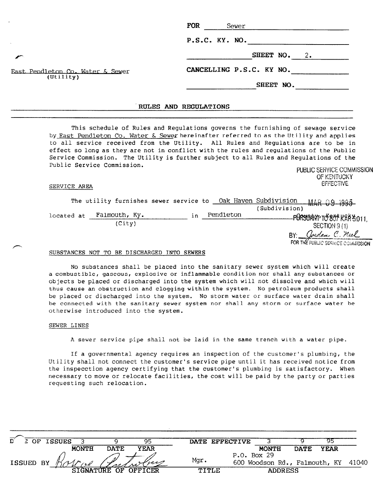|                                               | <b>FOR</b><br>Sewer      |
|-----------------------------------------------|--------------------------|
|                                               | P.S.C. KY. NO.           |
|                                               | SHEET NO.<br>2.          |
| East Pendleton Co. Water & Sewer<br>(Utility) | CANCELLING P.S.C. KY NO. |
|                                               | SHEET NO.                |
|                                               |                          |

# RULES AND REGULATIONS

This schedule of Rules and Regulations governs the furnishing of sewage service by East Pendleton Co. Water & Sewerhereinafter referred to as the Utility and applies to all service received from the Utility. All Rules and Regulations are to be in effect so long as they are not in conflict with the rules and regulations of the Public Service Commission. The Utility is further subject to all Rules and Regulations of the Public Service Commission. PUBLIC SERVICE COMMISSION

## SERVICE AREA

|            |  |               |     |           | The utility furnishes sewer service to Oak Haven Subdivision | MAR 09 1995                       |
|------------|--|---------------|-----|-----------|--------------------------------------------------------------|-----------------------------------|
|            |  |               |     |           | (Subdivision)                                                |                                   |
| located at |  | Falmouth, Ky. | i n | Pendleton |                                                              | -PURSUANT TO 807 KRA 5.011.       |
|            |  | (City)        |     |           |                                                              | SECTION 9 (1)                     |
|            |  |               |     |           |                                                              | avedan C. neel                    |
|            |  |               |     |           |                                                              | FOR THE FUBLIC SERVICE COMMISSION |

OF KENTUCKY

**EFFECTIVE** 

# SUBSTANCES NOT TO BE DISCHARGED INTO SEWERS

No substances shall be placed into the sanitary sewer system which will create a combustible, gaseous, explosive or inflammable condition nor shall any substances or objects be placed or discharged into the system which will not dissolve and which will thus cause an obstruction and clogging within the system. No petroleum products shall be placed or discharged into the system. No storm water or surface water drain shall be connected with the sanitary sewer system nor shall any storm or surface water be otherwise introduced into the system.

# SEWER LINES

A sewer service pipe shall not be laid in the same trench with a water pipe.

If a governmental agency requires an inspection of the customer's plumbing, the Utility shall not connect the customer's service pipe until it has received notice from the inspecction agency certifying that the customer's plumbing is satisfactory. When necessary to move or relocate facilities, the cost will be paid by the party or parties requesting such relocation.

| D         | OF. | <b>ISSUES</b> |              |              | 95          |       | DATE EFFECTIVE |              |                |                               |       |
|-----------|-----|---------------|--------------|--------------|-------------|-------|----------------|--------------|----------------|-------------------------------|-------|
|           |     |               | <b>MONTH</b> | <b>DATE</b>  | <b>YEAR</b> |       |                | <b>MONTH</b> | DATE.          | <b>YEAR</b>                   |       |
|           |     |               |              |              |             |       |                | P.0. Box 29  |                |                               |       |
| ISSUED BY |     |               |              |              | free        | Mqr.  |                |              |                | 600 Woodson Rd., Falmouth, KY | 41040 |
|           |     |               |              | STGNATIER OF | OFFICER     | TITLE |                |              | <b>ADDRESS</b> |                               |       |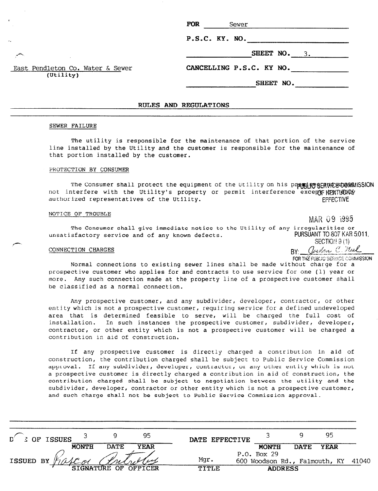| <b>FOR</b>               | Sewer |  |           |              |  |  |
|--------------------------|-------|--|-----------|--------------|--|--|
| $P.S.C.$ $KY.$ $NO.$     |       |  |           |              |  |  |
|                          |       |  |           | SHEET NO. 3. |  |  |
| CANCELLING P.S.C. KY NO. |       |  |           |              |  |  |
|                          |       |  | SHEET NO. |              |  |  |
|                          |       |  |           |              |  |  |
| AND REGULATIONS          |       |  |           |              |  |  |

### SEWER FAILURE

East Pendleton Co. Water & Sewer (Utility)

A

/?

The utility is responsible for the maintenance of that portion of the service line installed by the Utility and the customer is responsible for the maintenance of that portion installed by the customer.

**RULES** 

# PROTECTION BY CONSUMER

The Consumer shall protect the equipment of the Utility on his pressisce SERVIC BOOMMISSION not interfere with the Utility's property or permit interference excemp HENT!CONY authorized representatives of the Utility. The example of the Utility.

# NOTICE OF TROUBLE

MAR 09 1995

The Consumer shall give immediate notice to the Utility of any irregularities or unsatisfactory service and of any known defects. The PURSUANT TO 807 KAR 5011, SECTION  $\vartheta$  (1)

 $\frac{\text{COMRECTION CHARGES}}{P}$  .  $\frac{\text{Qeyl}_{\text{Cov}}}{P}$ FOR THE PUBLIC SERVICE COMMISSION.

Normal connections to existing sewer lines shall be made without charge for a prospective customer who applies for and contracts to use service for one (1) year or more. Any such connection made at the property line of a prospective customer shall be classified as a normal connection.

Any prospective customer, and any subdivider, developer, contractor, or other entity which is not a prospective customer, requiring service for a defined undeveloped area that is determined feasible to serve, will be charged the full cost of installation. In such instances the prospective customer, subdivider, developer, contractor, or other entity which is not a prospective customer will be charged a contribution in aid of construction.

If any prospective customer is directly charged a contribution in aid of construction, the contribution charged shall be subject to Public Service Commission approval. If any subdivider, developer, contractor, or any other entity which is not a prospective customer is directly charged a contribution in aid of construction, the contribution charged shall be subject to negotiation between the utility and the subdivider, developer, contractor or other entity which is not a prospective customer, and such charge shall not be subject to Public Service Commission approval.

| <b>COF ISSUES</b> |       | 95                  |         |      |                |             | 95             |                                     |
|-------------------|-------|---------------------|---------|------|----------------|-------------|----------------|-------------------------------------|
| <b>MONTH</b>      | DATE. | <b>YEAR</b>         |         |      | <b>MONTH</b>   | <b>DATE</b> | <b>YEAR</b>    |                                     |
|                   |       |                     |         |      |                |             |                |                                     |
|                   |       |                     |         |      |                |             |                |                                     |
|                   |       |                     | TITLE   |      |                |             |                |                                     |
|                   |       | <b>SIGNATURE OF</b> | OFFICER | Mqr. | DATE EFFECTIVE | P.0. Box 29 | <b>ADDRESS</b> | 600 Woodson Rd., Falmouth, KY 41040 |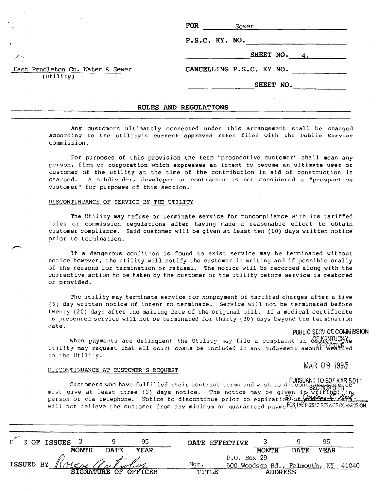| $P.S.C.$ $KY.$ $NO.$     |  |  |                |  |  |
|--------------------------|--|--|----------------|--|--|
|                          |  |  | SHEET $NO. 4.$ |  |  |
| CANCELLING P.S.C. KY NO. |  |  |                |  |  |
|                          |  |  | SHEET NO.      |  |  |

# RULES AND REGULATIONS

Any customers ultimately connected under this arrangement shall be charged according to the utility's current approved rates filed with the Public Service Commission.

For purposes of this provision the term "prospective customer" shall mean any person, firm or corporation which expresses an intent to become an ultimate user or customer of the utility at the time of the contribution in aid of construction is charged. A subdivider, developer or contractor is not considered a "prospective customer" for purposes of this section.

# DISCONTINUANCE OF SERVICE BY THE UTILITY

East Pendleton Co. Water & Sewer

(Utility)

The Utility may refuse or terminate service for noncompliance with its tariffed rules or commission regulations after having made a reasonable effort to obtain customer compliance. Said customer will be given at least ten (10) days written notice prior to termination.

If a dangerous condition is found to exist service may be terminated without notice however, the utility will notify the customer in writing and if possible orally of the reasons for termination or refusal. The notice will be recorded along with the corrective action to be taken by the customer or the utility before service is restored.  $\frac{1}{2}$ 

The utility may terminate service for nonpayment of tariffed charges after a five International may cerminate service for nonpayment of tarritted charges after a five (5) day written notice of intent to terminate. Service will not be terminated before twenty (20) days after the mailing date of the original bill. If a medical certificate is presented service will not be terminated for thirty (30) days beyond the termination date.

PUBLIC SERVICE COMMISSION

When payments are delinquent the Utility may file a complete a complete a complete a complete a complete a compl When payments are delinquent the Utility may file a complaint in  $\mathcal{W}_\text{CEECTNUE}^{(1)}$ Utility may request that all court costs be included in any judgement amount away thed

# MAR 09 1995

# DISCONTINUANCE AT CUSTOMER'S REQUEST

PURSUANT TO 807 KAR 5.01 Customers who have fulfilled their contract terms and wish to must give at le<mark>ast three (3) days notice.</mark> The notice may be person or vi<mark>a</mark> telephone. Notice to di**scon**tinue prior to expiratid

| $\Gamma$ $\bar{z}$ of ISSUES |                           |                      | 95          |       | DATE EFFECTIVE |                                     |             | 95          |  |
|------------------------------|---------------------------|----------------------|-------------|-------|----------------|-------------------------------------|-------------|-------------|--|
|                              | <b>MONTH</b>              | <b>DATE</b>          | <b>YEAR</b> |       |                | <b>MONTH</b>                        | <b>DATE</b> | <b>YEAR</b> |  |
|                              |                           |                      |             |       | P.O. Box 29    |                                     |             |             |  |
|                              | ISSUED BY Roke Chatroling |                      |             | Mqr.  |                | 600 Woodson Rd., Falmouth, KY 41040 |             |             |  |
|                              |                           | SIGNATURE OF OFFICER |             | TITLE |                | <b>ADDRESS</b>                      |             |             |  |